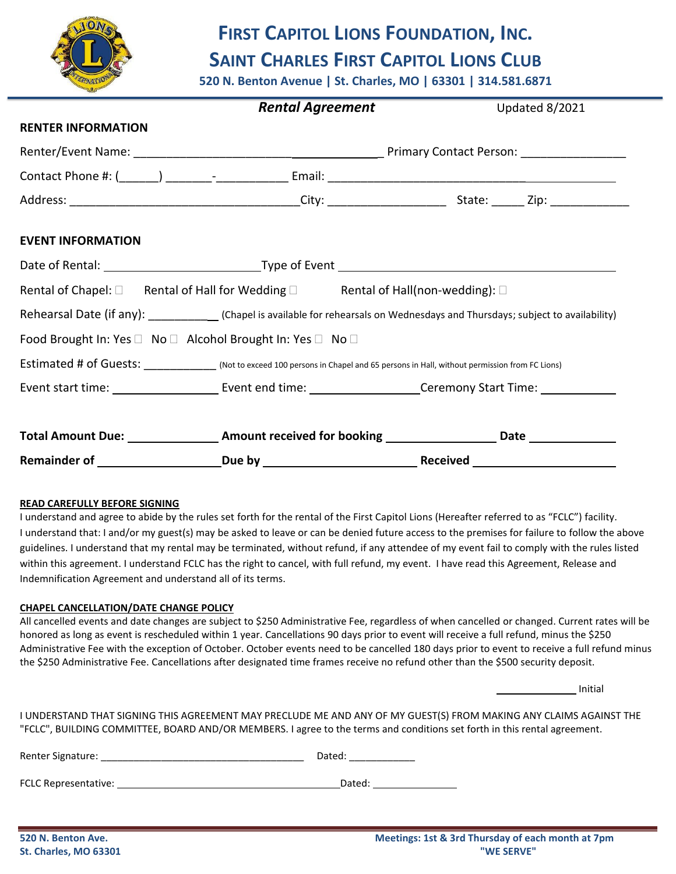

# **FIRST CAPITOL LIONS FOUNDATION, INC. SAINT CHARLES FIRST CAPITOL LIONS CLUB**

**520 N. Benton Avenue | St. Charles, MO | 63301 | 314.581.6871**

|                           | <b>Rental Agreement</b>                                                                                                             | Updated 8/2021 |  |
|---------------------------|-------------------------------------------------------------------------------------------------------------------------------------|----------------|--|
| <b>RENTER INFORMATION</b> |                                                                                                                                     |                |  |
|                           |                                                                                                                                     |                |  |
|                           |                                                                                                                                     |                |  |
|                           |                                                                                                                                     |                |  |
| <b>EVENT INFORMATION</b>  |                                                                                                                                     |                |  |
|                           |                                                                                                                                     |                |  |
|                           | Rental of Chapel: □ Rental of Hall for Wedding □ Rental of Hall(non-wedding): □                                                     |                |  |
|                           | Rehearsal Date (if any): ____________(Chapel is available for rehearsals on Wednesdays and Thursdays; subject to availability)      |                |  |
|                           | Food Brought In: Yes □ No □ Alcohol Brought In: Yes □ No □                                                                          |                |  |
|                           | Estimated # of Guests: ______________(Not to exceed 100 persons in Chapel and 65 persons in Hall, without permission from FC Lions) |                |  |
|                           | Event start time: ____________________________Event end time: __________________________Ceremony Start Time: ________________       |                |  |
|                           |                                                                                                                                     |                |  |
|                           |                                                                                                                                     |                |  |

### **READ CAREFULLY BEFORE SIGNING**

I understand and agree to abide by the rules set forth for the rental of the First Capitol Lions (Hereafter referred to as "FCLC") facility. I understand that: I and/or my guest(s) may be asked to leave or can be denied future access to the premises for failure to follow the above guidelines. I understand that my rental may be terminated, without refund, if any attendee of my event fail to comply with the rules listed within this agreement. I understand FCLC has the right to cancel, with full refund, my event. I have read this Agreement, Release and Indemnification Agreement and understand all of its terms.

### **CHAPEL CANCELLATION/DATE CHANGE POLICY**

All cancelled events and date changes are subject to \$250 Administrative Fee, regardless of when cancelled or changed. Current rates will be honored as long as event is rescheduled within 1 year. Cancellations 90 days prior to event will receive a full refund, minus the \$250 Administrative Fee with the exception of October. October events need to be cancelled 180 days prior to event to receive a full refund minus the \$250 Administrative Fee. Cancellations after designated time frames receive no refund other than the \$500 security deposit.

Initial

I UNDERSTAND THAT SIGNING THIS AGREEMENT MAY PRECLUDE ME AND ANY OF MY GUEST(S) FROM MAKING ANY CLAIMS AGAINST THE "FCLC", BUILDING COMMITTEE, BOARD AND/OR MEMBERS. I agree to the terms and conditions set forth in this rental agreement.

| Renter Signature:    | Dated: |  |  |
|----------------------|--------|--|--|
|                      |        |  |  |
| FCLC Representative: | Dated: |  |  |